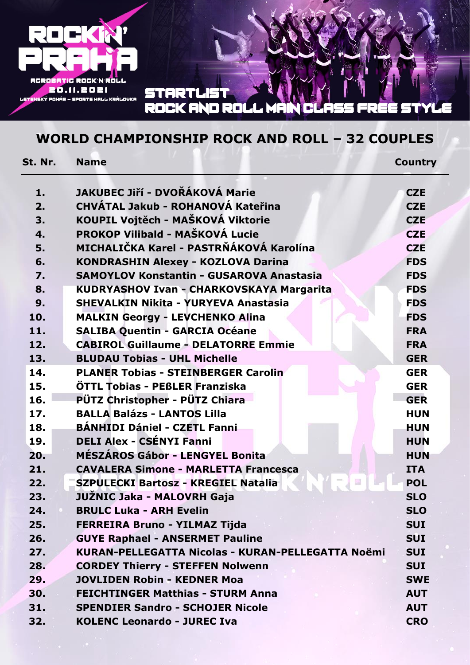

#### **STARTLIS** ROCK AND ROLL

## **WORLD CHAMPIONSHIP ROCK AND ROLL – 32 COUPLES**

| St. Nr. | <b>Name</b>                                       | <b>Country</b> |  |
|---------|---------------------------------------------------|----------------|--|
| 1.      | JAKUBEC Jiří - DVOŘÁKOVÁ Marie                    | <b>CZE</b>     |  |
| 2.      | CHVÁTAL Jakub - ROHANOVÁ Kateřina                 |                |  |
| 3.      | KOUPIL Vojtěch - MAŠKOVÁ Viktorie                 |                |  |
| 4.      | PROKOP Vilibald - MAŠKOVÁ Lucie                   | <b>CZE</b>     |  |
| 5.      | MICHALIČKA Karel - PASTRŇÁKOVÁ Karolína           |                |  |
| 6.      | <b>KONDRASHIN Alexey - KOZLOVA Darina</b>         | <b>FDS</b>     |  |
| 7.      | <b>SAMOYLOV Konstantin - GUSAROVA Anastasia</b>   | <b>FDS</b>     |  |
| 8.      | KUDRYASHOV Ivan - CHARKOVSKAYA Margarita          | <b>FDS</b>     |  |
| 9.      | <b>SHEVALKIN Nikita - YURYEVA Anastasia</b>       | <b>FDS</b>     |  |
| 10.     | <b>MALKIN Georgy - LEVCHENKO Alina</b>            | <b>FDS</b>     |  |
| 11.     | <b>SALIBA Quentin - GARCIA Océane</b>             | <b>FRA</b>     |  |
| 12.     | <b>CABIROL Guillaume - DELATORRE Emmie</b>        | <b>FRA</b>     |  |
| 13.     | <b>BLUDAU Tobias - UHL Michelle</b>               | <b>GER</b>     |  |
| 14.     | <b>PLANER Tobias - STEINBERGER Carolin</b>        | <b>GER</b>     |  |
| 15.     | ÖTTL Tobias - PEBLER Franziska                    | <b>GER</b>     |  |
| 16.     | PÜTZ Christopher - PÜTZ Chiara                    | <b>GER</b>     |  |
| 17.     | <b>BALLA Balázs - LANTOS Lilla</b>                | <b>HUN</b>     |  |
| 18.     | <b>BÁNHIDI Dániel - CZETL Fanni</b>               | <b>HUN</b>     |  |
| 19.     | <b>DELI Alex - CSÉNYI Fanni</b>                   | <b>HUN</b>     |  |
| 20.     | <b>MÉSZÁROS Gábor - LENGYEL Bonita</b>            | <b>HUN</b>     |  |
| 21.     | <b>CAVALERA Simone - MARLETTA Francesca</b>       | <b>ITA</b>     |  |
| 22.     | <b>SZPULECKI Bartosz - KREGIEL Natalia</b>        | <b>POL</b>     |  |
| 23.     | JUŽNIC Jaka - MALOVRH Gaja                        | <b>SLO</b>     |  |
| 24.     | <b>BRULC Luka - ARH Evelin</b>                    | <b>SLO</b>     |  |
| 25.     | FERREIRA Bruno - YILMAZ Tijda                     | <b>SUI</b>     |  |
| 26.     | <b>GUYE Raphael - ANSERMET Pauline</b>            |                |  |
| 27.     | KURAN-PELLEGATTA Nicolas - KURAN-PELLEGATTA Noëmi |                |  |
| 28.     | <b>CORDEY Thierry - STEFFEN Nolwenn</b>           |                |  |
| 29.     | <b>JOVLIDEN Robin - KEDNER Moa</b>                |                |  |
| 30.     | <b>FEICHTINGER Matthias - STURM Anna</b>          |                |  |
| 31.     | <b>SPENDIER Sandro - SCHOJER Nicole</b>           |                |  |
| 32.     | <b>KOLENC Leonardo - JUREC Iva</b>                | <b>CRO</b>     |  |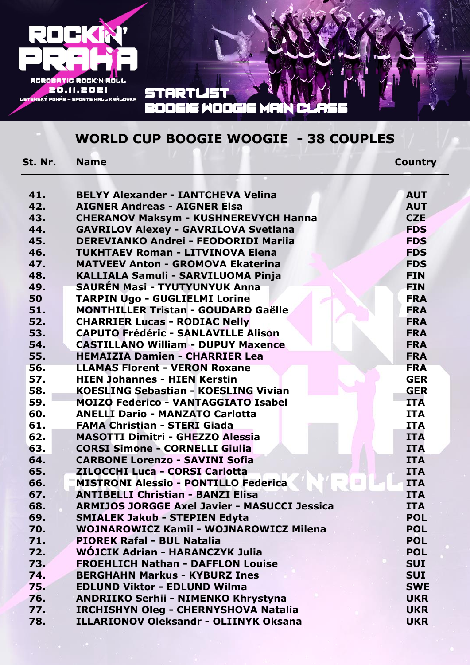

### **WORLD CUP BOOGIE WOOGIE - 38 COUPLES**

**St. Nr. Name Country**

| 41. | <b>BELYY Alexander - IANTCHEVA Velina</b>           | <b>AUT</b> |  |  |
|-----|-----------------------------------------------------|------------|--|--|
| 42. | <b>AIGNER Andreas - AIGNER Elsa</b>                 |            |  |  |
| 43. | <b>CHERANOV Maksym - KUSHNEREVYCH Hanna</b>         |            |  |  |
| 44. | <b>GAVRILOV Alexey - GAVRILOVA Svetlana</b>         |            |  |  |
| 45. | <b>DEREVIANKO Andrei - FEODORIDI Mariia</b>         |            |  |  |
| 46. | <b>TUKHTAEV Roman - LITVINOVA Elena</b>             | <b>FDS</b> |  |  |
| 47. | <b>MATVEEV Anton - GROMOVA Ekaterina</b>            | <b>FDS</b> |  |  |
| 48. | <b>KALLIALA Samuli - SARVILUOMA Pinja</b>           | <b>FIN</b> |  |  |
| 49. | <b>SAURÉN Masi - TYUTYUNYUK Anna</b>                | <b>FIN</b> |  |  |
| 50  | <b>TARPIN Ugo - GUGLIELMI Lorine</b>                | <b>FRA</b> |  |  |
| 51. | <b>MONTHILLER Tristan - GOUDARD Gaëlle</b>          | <b>FRA</b> |  |  |
| 52. | <b>CHARRIER Lucas - RODIAC Nelly</b>                | <b>FRA</b> |  |  |
| 53. | <b>CAPUTO Frédéric - SANLAVILLE Alison</b>          | <b>FRA</b> |  |  |
| 54. | <b>CASTILLANO William - DUPUY Maxence</b>           | <b>FRA</b> |  |  |
| 55. | <b>HEMAIZIA Damien - CHARRIER Lea</b>               | <b>FRA</b> |  |  |
| 56. | <b>LLAMAS Florent - VERON Roxane</b>                | <b>FRA</b> |  |  |
| 57. | <b>HIEN Johannes - HIEN Kerstin</b>                 | <b>GER</b> |  |  |
| 58. | <b>KOESLING Sebastian - KOESLING Vivian</b>         | <b>GER</b> |  |  |
| 59. | <b>MOIZO Federico - VANTAGGIATO Isabel</b>          | <b>ITA</b> |  |  |
| 60. | <b>ANELLI Dario - MANZATO Carlotta</b>              | <b>ITA</b> |  |  |
| 61. | <b>FAMA Christian - STERI Giada</b>                 | <b>ITA</b> |  |  |
| 62. | <b>MASOTTI Dimitri - GHEZZO Alessia</b>             | <b>ITA</b> |  |  |
| 63. | <b>CORSI Simone - CORNELLI Giulia</b>               | <b>ITA</b> |  |  |
| 64. | <b>CARBONE Lorenzo - SAVINI Sofia</b>               | <b>ITA</b> |  |  |
| 65. | <b>ZILOCCHI Luca - CORSI Carlotta</b>               | <b>ITA</b> |  |  |
| 66. | <b>MISTRONI Alessio - PONTILLO Federica</b>         | <b>ITA</b> |  |  |
| 67. | <b>ANTIBELLI Christian - BANZI Elisa</b>            | <b>ITA</b> |  |  |
| 68. | <b>ARMIJOS JORGGE Axel Javier - MASUCCI Jessica</b> | <b>ITA</b> |  |  |
| 69. | <b>SMIALEK Jakub - STEPIEN Edyta</b>                | <b>POL</b> |  |  |
| 70. | <b>WOJNAROWICZ Kamil - WOJNAROWICZ Milena</b>       | <b>POL</b> |  |  |
| 71. | <b>PIOREK Rafal - BUL Natalia</b>                   | <b>POL</b> |  |  |
| 72. | WÓJCIK Adrian - HARANCZYK Julia                     | <b>POL</b> |  |  |
| 73. | <b>FROEHLICH Nathan - DAFFLON Louise</b>            | <b>SUI</b> |  |  |
| 74. | <b>BERGHAHN Markus - KYBURZ Ines</b>                | <b>SUI</b> |  |  |
| 75. | <b>EDLUND Viktor - EDLUND Wilma</b>                 | <b>SWE</b> |  |  |
| 76. | ANDRIIKO Serhii - NIMENKO Khrystyna                 | <b>UKR</b> |  |  |
| 77. | IRCHISHYN Oleg - CHERNYSHOVA Natalia                | <b>UKR</b> |  |  |
| 78. | <b>ILLARIONOV Oleksandr - OLIINYK Oksana</b>        | <b>UKR</b> |  |  |